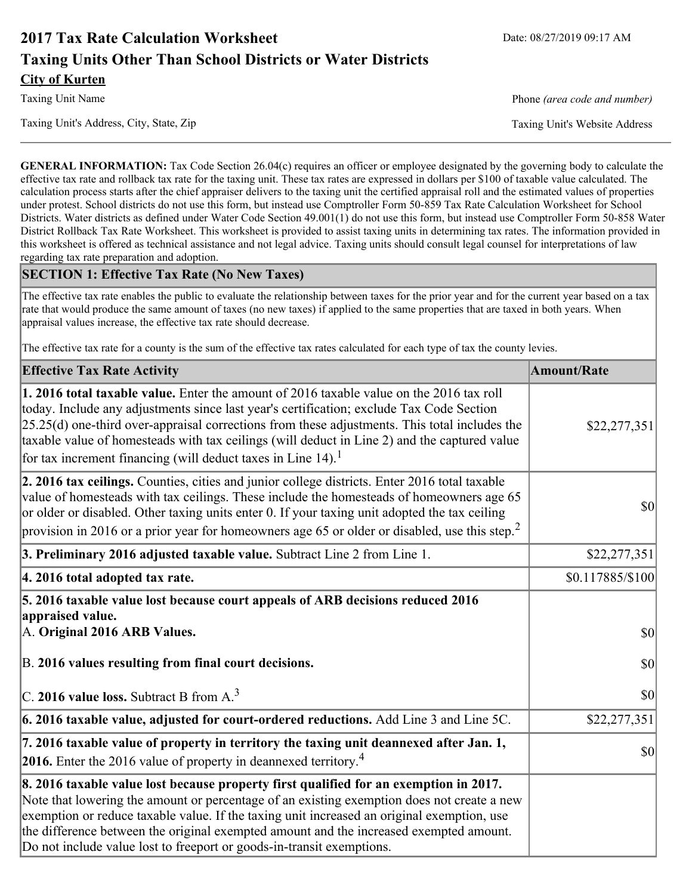# **2017 Tax Rate Calculation Worksheet** Date: 08/27/2019 09:17 AM **Taxing Units Other Than School Districts or Water Districts City of Kurten**

Taxing Unit Name **Phone** *(area code and number)* Phone *(area code and number)* 

Taxing Unit's Address, City, State, Zip Taxing Unit's Website Address

**GENERAL INFORMATION:** Tax Code Section 26.04(c) requires an officer or employee designated by the governing body to calculate the effective tax rate and rollback tax rate for the taxing unit. These tax rates are expressed in dollars per \$100 of taxable value calculated. The calculation process starts after the chief appraiser delivers to the taxing unit the certified appraisal roll and the estimated values of properties under protest. School districts do not use this form, but instead use Comptroller Form 50-859 Tax Rate Calculation Worksheet for School Districts. Water districts as defined under Water Code Section 49.001(1) do not use this form, but instead use Comptroller Form 50-858 Water District Rollback Tax Rate Worksheet. This worksheet is provided to assist taxing units in determining tax rates. The information provided in this worksheet is offered as technical assistance and not legal advice. Taxing units should consult legal counsel for interpretations of law regarding tax rate preparation and adoption.

### **SECTION 1: Effective Tax Rate (No New Taxes)**

The effective tax rate enables the public to evaluate the relationship between taxes for the prior year and for the current year based on a tax rate that would produce the same amount of taxes (no new taxes) if applied to the same properties that are taxed in both years. When appraisal values increase, the effective tax rate should decrease.

The effective tax rate for a county is the sum of the effective tax rates calculated for each type of tax the county levies.

| <b>Effective Tax Rate Activity</b>                                                                                                                                                                                                                                                                                                                                                                                                                      | <b>Amount/Rate</b> |
|---------------------------------------------------------------------------------------------------------------------------------------------------------------------------------------------------------------------------------------------------------------------------------------------------------------------------------------------------------------------------------------------------------------------------------------------------------|--------------------|
| 1. 2016 total taxable value. Enter the amount of 2016 taxable value on the 2016 tax roll<br>today. Include any adjustments since last year's certification; exclude Tax Code Section<br>$[25.25(d)$ one-third over-appraisal corrections from these adjustments. This total includes the<br>taxable value of homesteads with tax ceilings (will deduct in Line 2) and the captured value<br>for tax increment financing (will deduct taxes in Line 14). | \$22,277,351       |
| 2. 2016 tax ceilings. Counties, cities and junior college districts. Enter 2016 total taxable<br>value of homesteads with tax ceilings. These include the homesteads of homeowners age 65<br>or older or disabled. Other taxing units enter 0. If your taxing unit adopted the tax ceiling<br>provision in 2016 or a prior year for homeowners age 65 or older or disabled, use this step. <sup>2</sup>                                                 | 30                 |
| 3. Preliminary 2016 adjusted taxable value. Subtract Line 2 from Line 1.                                                                                                                                                                                                                                                                                                                                                                                | \$22,277,351       |
| 4. 2016 total adopted tax rate.                                                                                                                                                                                                                                                                                                                                                                                                                         | \$0.117885/\$100   |
| 5. 2016 taxable value lost because court appeals of ARB decisions reduced 2016<br>appraised value.<br>A. Original 2016 ARB Values.                                                                                                                                                                                                                                                                                                                      | $ 10\rangle$       |
| B. 2016 values resulting from final court decisions.                                                                                                                                                                                                                                                                                                                                                                                                    | 30                 |
| C. 2016 value loss. Subtract B from $A3$                                                                                                                                                                                                                                                                                                                                                                                                                | \$0                |
| 6. 2016 taxable value, adjusted for court-ordered reductions. Add Line 3 and Line 5C.                                                                                                                                                                                                                                                                                                                                                                   | \$22,277,351       |
| 7. 2016 taxable value of property in territory the taxing unit deannexed after Jan. 1,<br><b>2016.</b> Enter the 2016 value of property in deannexed territory. <sup>4</sup>                                                                                                                                                                                                                                                                            | $ 10\rangle$       |
| 8. 2016 taxable value lost because property first qualified for an exemption in 2017.<br>Note that lowering the amount or percentage of an existing exemption does not create a new<br>exemption or reduce taxable value. If the taxing unit increased an original exemption, use<br>the difference between the original exempted amount and the increased exempted amount.<br>Do not include value lost to freeport or goods-in-transit exemptions.    |                    |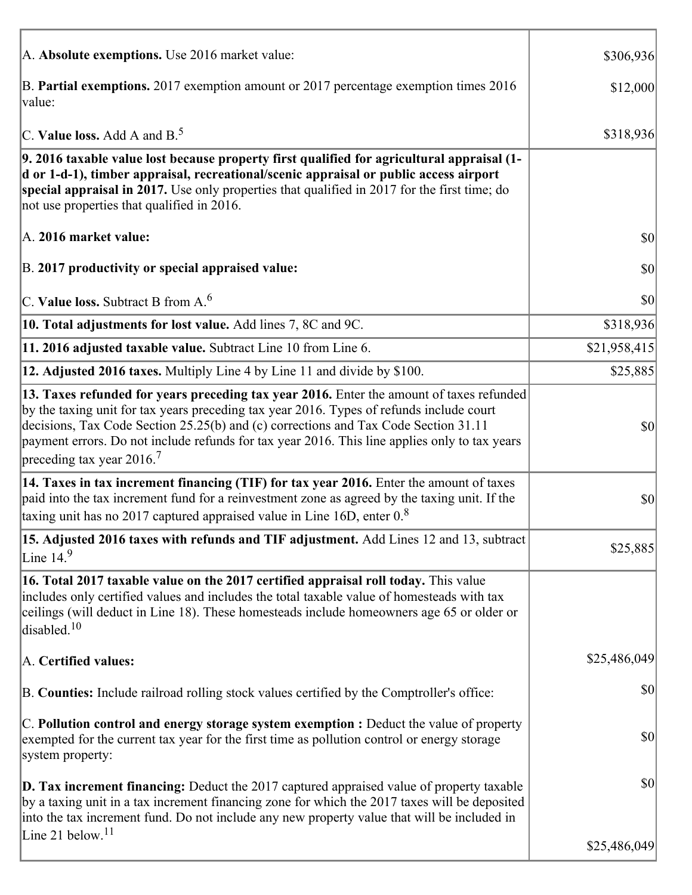| A. Absolute exemptions. Use 2016 market value:                                                                                                                                                                                                                                                                                                                                                                         | \$306,936    |
|------------------------------------------------------------------------------------------------------------------------------------------------------------------------------------------------------------------------------------------------------------------------------------------------------------------------------------------------------------------------------------------------------------------------|--------------|
| B. Partial exemptions. 2017 exemption amount or 2017 percentage exemption times 2016<br>value:                                                                                                                                                                                                                                                                                                                         | \$12,000     |
| C. Value loss. Add A and $B^5$ .                                                                                                                                                                                                                                                                                                                                                                                       | \$318,936    |
| 9. 2016 taxable value lost because property first qualified for agricultural appraisal (1-<br>d or 1-d-1), timber appraisal, recreational/scenic appraisal or public access airport<br>special appraisal in 2017. Use only properties that qualified in 2017 for the first time; do<br>not use properties that qualified in 2016.                                                                                      |              |
| A. 2016 market value:                                                                                                                                                                                                                                                                                                                                                                                                  | 30           |
| B. 2017 productivity or special appraised value:                                                                                                                                                                                                                                                                                                                                                                       | \$0          |
| C. Value loss. Subtract B from $A6$                                                                                                                                                                                                                                                                                                                                                                                    | \$0          |
| 10. Total adjustments for lost value. Add lines 7, 8C and 9C.                                                                                                                                                                                                                                                                                                                                                          | \$318,936    |
| 11. 2016 adjusted taxable value. Subtract Line 10 from Line 6.                                                                                                                                                                                                                                                                                                                                                         | \$21,958,415 |
| 12. Adjusted 2016 taxes. Multiply Line 4 by Line 11 and divide by \$100.                                                                                                                                                                                                                                                                                                                                               | \$25,885     |
| 13. Taxes refunded for years preceding tax year 2016. Enter the amount of taxes refunded<br>by the taxing unit for tax years preceding tax year 2016. Types of refunds include court<br>decisions, Tax Code Section 25.25(b) and (c) corrections and Tax Code Section 31.11<br>payment errors. Do not include refunds for tax year 2016. This line applies only to tax years<br>preceding tax year $2016$ <sup>7</sup> | \$0          |
| 14. Taxes in tax increment financing (TIF) for tax year 2016. Enter the amount of taxes<br>paid into the tax increment fund for a reinvestment zone as agreed by the taxing unit. If the<br>taxing unit has no 2017 captured appraised value in Line 16D, enter $0.8$                                                                                                                                                  | \$0          |
| 15. Adjusted 2016 taxes with refunds and TIF adjustment. Add Lines 12 and 13, subtract<br>Line $149$                                                                                                                                                                                                                                                                                                                   | \$25,885     |
| 16. Total 2017 taxable value on the 2017 certified appraisal roll today. This value<br>includes only certified values and includes the total taxable value of homesteads with tax<br>ceilings (will deduct in Line 18). These homesteads include homeowners age 65 or older or<br>disabled. <sup>10</sup>                                                                                                              |              |
| A. Certified values:                                                                                                                                                                                                                                                                                                                                                                                                   | \$25,486,049 |
| B. Counties: Include railroad rolling stock values certified by the Comptroller's office:                                                                                                                                                                                                                                                                                                                              | \$0          |
| $ C$ . Pollution control and energy storage system exemption : Deduct the value of property<br>exempted for the current tax year for the first time as pollution control or energy storage<br>system property:                                                                                                                                                                                                         | \$0          |
| <b>D. Tax increment financing:</b> Deduct the 2017 captured appraised value of property taxable<br>by a taxing unit in a tax increment financing zone for which the 2017 taxes will be deposited<br>into the tax increment fund. Do not include any new property value that will be included in                                                                                                                        | \$0          |
| Line 21 below. <sup>11</sup>                                                                                                                                                                                                                                                                                                                                                                                           | \$25,486,049 |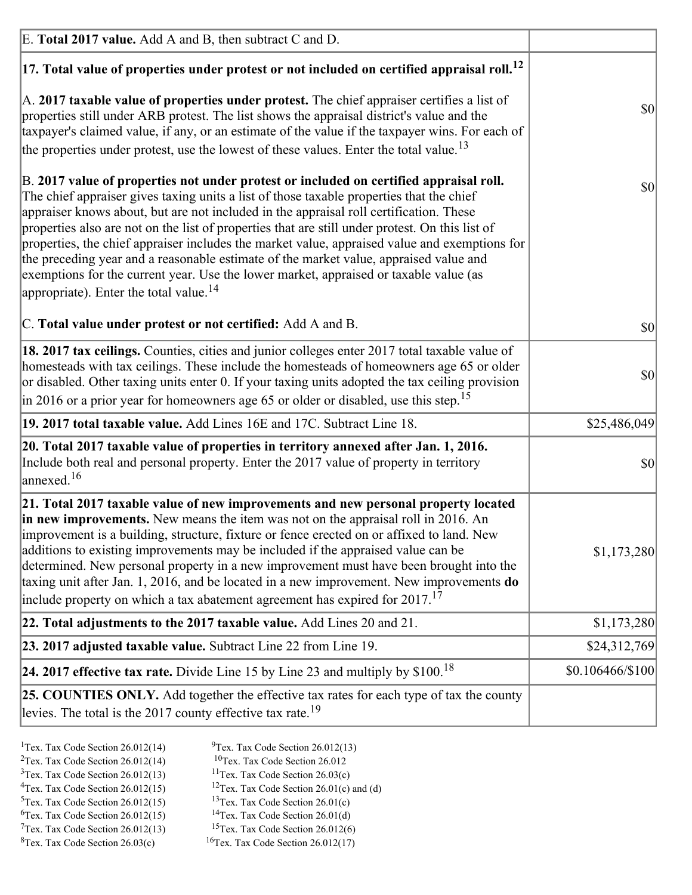| E. Total 2017 value. Add A and B, then subtract C and D.                                                                                                                                                                                                                                                                                                                                                                                                                                                                                                                                                                                                                                                                 |                  |
|--------------------------------------------------------------------------------------------------------------------------------------------------------------------------------------------------------------------------------------------------------------------------------------------------------------------------------------------------------------------------------------------------------------------------------------------------------------------------------------------------------------------------------------------------------------------------------------------------------------------------------------------------------------------------------------------------------------------------|------------------|
| $ 17$ . Total value of properties under protest or not included on certified appraisal roll. <sup>12</sup>                                                                                                                                                                                                                                                                                                                                                                                                                                                                                                                                                                                                               |                  |
| $ A. 2017$ taxable value of properties under protest. The chief appraiser certifies a list of<br>properties still under ARB protest. The list shows the appraisal district's value and the<br>taxpayer's claimed value, if any, or an estimate of the value if the taxpayer wins. For each of<br>the properties under protest, use the lowest of these values. Enter the total value. <sup>13</sup>                                                                                                                                                                                                                                                                                                                      | <b>\$0</b>       |
| B. 2017 value of properties not under protest or included on certified appraisal roll.<br>The chief appraiser gives taxing units a list of those taxable properties that the chief<br>appraiser knows about, but are not included in the appraisal roll certification. These<br>properties also are not on the list of properties that are still under protest. On this list of<br>properties, the chief appraiser includes the market value, appraised value and exemptions for<br>the preceding year and a reasonable estimate of the market value, appraised value and<br>exemptions for the current year. Use the lower market, appraised or taxable value (as<br>appropriate). Enter the total value. <sup>14</sup> | \$0              |
| C. Total value under protest or not certified: Add A and B.                                                                                                                                                                                                                                                                                                                                                                                                                                                                                                                                                                                                                                                              | $ 10\rangle$     |
| 18. 2017 tax ceilings. Counties, cities and junior colleges enter 2017 total taxable value of<br>homesteads with tax ceilings. These include the homesteads of homeowners age 65 or older<br>or disabled. Other taxing units enter 0. If your taxing units adopted the tax ceiling provision<br>in 2016 or a prior year for homeowners age 65 or older or disabled, use this step. <sup>15</sup>                                                                                                                                                                                                                                                                                                                         | \$0              |
| 19. 2017 total taxable value. Add Lines 16E and 17C. Subtract Line 18.                                                                                                                                                                                                                                                                                                                                                                                                                                                                                                                                                                                                                                                   | \$25,486,049     |
| 20. Total 2017 taxable value of properties in territory annexed after Jan. 1, 2016.<br>Include both real and personal property. Enter the 2017 value of property in territory<br>$\frac{16}{2}$                                                                                                                                                                                                                                                                                                                                                                                                                                                                                                                          | $ 10\rangle$     |
| 21. Total 2017 taxable value of new improvements and new personal property located<br>in new improvements. New means the item was not on the appraisal roll in 2016. An<br>improvement is a building, structure, fixture or fence erected on or affixed to land. New<br>additions to existing improvements may be included if the appraised value can be<br>determined. New personal property in a new improvement must have been brought into the<br>taxing unit after Jan. 1, 2016, and be located in a new improvement. New improvements do<br>include property on which a tax abatement agreement has expired for $2017$ . <sup>17</sup>                                                                             | \$1,173,280      |
| 22. Total adjustments to the 2017 taxable value. Add Lines 20 and 21.                                                                                                                                                                                                                                                                                                                                                                                                                                                                                                                                                                                                                                                    | \$1,173,280      |
| 23. 2017 adjusted taxable value. Subtract Line 22 from Line 19.                                                                                                                                                                                                                                                                                                                                                                                                                                                                                                                                                                                                                                                          | \$24,312,769     |
| 24. 2017 effective tax rate. Divide Line 15 by Line 23 and multiply by $$100$ . <sup>18</sup>                                                                                                                                                                                                                                                                                                                                                                                                                                                                                                                                                                                                                            | \$0.106466/\$100 |
| <b>25. COUNTIES ONLY.</b> Add together the effective tax rates for each type of tax the county<br>levies. The total is the 2017 county effective tax rate. <sup>19</sup>                                                                                                                                                                                                                                                                                                                                                                                                                                                                                                                                                 |                  |

- <sup>2</sup>Tex. Tax Code Section 26.012(14)
- <sup>1</sup>Tex. Tax Code Section 26.012(14) <sup>9</sup>Tex. Tax Code Section 26.012(13) <sup>9</sup>Tex. Tax Code Section 26.012
	-
- <sup>3</sup>Tex. Tax Code Section 26.012(13) <sup>11</sup>Tex. Tax Code Section 26.03(c) <sup>4</sup>Tex. Tax Code Section 26.01(c) and <sup>12</sup>Tex. Tax Code Section 26.01(c) and <sup>12</sup>Tex. Tax Code Section 26.01(c) and <sup>12</sup>Tex. Tax Code Section 26.01(c)
	- <sup>12</sup>Tex. Tax Code Section 26.01(c) and (d)
- 
- <sup>5</sup>Tex. Tax Code Section 26.012(15) <sup>13</sup>Tex. Tax Code Section 26.01(c) <sup>6</sup>Tex. Tax Code Section 26.01(d)
- <sup>6</sup>Tex. Tax Code Section 26.012(15) <sup>14</sup>Tex. Tax Code Section 26.01(d)<sup>7</sup>Tex. Tax Code Section 26.012(6)  $7$ Tex. Tax Code Section 26.012(13)
- 
- 
- ${}^{8}$ Tex. Tax Code Section 26.03(c)  ${}^{16}$ Tex. Tax Code Section 26.012(17)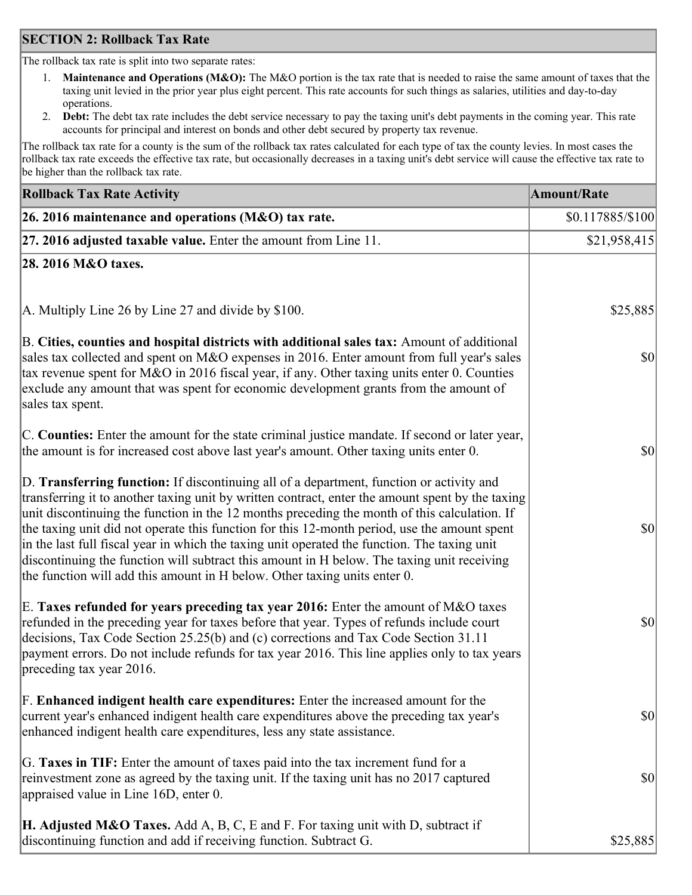### **SECTION 2: Rollback Tax Rate**

The rollback tax rate is split into two separate rates:

- 1. **Maintenance and Operations (M&O):** The M&O portion is the tax rate that is needed to raise the same amount of taxes that the taxing unit levied in the prior year plus eight percent. This rate accounts for such things as salaries, utilities and day-to-day operations.
- 2. **Debt:** The debt tax rate includes the debt service necessary to pay the taxing unit's debt payments in the coming year. This rate accounts for principal and interest on bonds and other debt secured by property tax revenue.

The rollback tax rate for a county is the sum of the rollback tax rates calculated for each type of tax the county levies. In most cases the rollback tax rate exceeds the effective tax rate, but occasionally decreases in a taxing unit's debt service will cause the effective tax rate to be higher than the rollback tax rate.

| <b>Rollback Tax Rate Activity</b>                                                                                                                                                                                                                                                                                                                                                                                                                                                                                                                                                                                                                                       | <b>Amount/Rate</b> |
|-------------------------------------------------------------------------------------------------------------------------------------------------------------------------------------------------------------------------------------------------------------------------------------------------------------------------------------------------------------------------------------------------------------------------------------------------------------------------------------------------------------------------------------------------------------------------------------------------------------------------------------------------------------------------|--------------------|
| 26. 2016 maintenance and operations (M&O) tax rate.                                                                                                                                                                                                                                                                                                                                                                                                                                                                                                                                                                                                                     | \$0.117885/\$100   |
| $ 27.2016$ adjusted taxable value. Enter the amount from Line 11.                                                                                                                                                                                                                                                                                                                                                                                                                                                                                                                                                                                                       | \$21,958,415       |
| 28. 2016 M&O taxes.                                                                                                                                                                                                                                                                                                                                                                                                                                                                                                                                                                                                                                                     |                    |
| A. Multiply Line 26 by Line 27 and divide by \$100.                                                                                                                                                                                                                                                                                                                                                                                                                                                                                                                                                                                                                     | \$25,885           |
| B. Cities, counties and hospital districts with additional sales tax: Amount of additional<br>sales tax collected and spent on M&O expenses in 2016. Enter amount from full year's sales<br>tax revenue spent for M&O in 2016 fiscal year, if any. Other taxing units enter 0. Counties<br>exclude any amount that was spent for economic development grants from the amount of<br>sales tax spent.                                                                                                                                                                                                                                                                     | 30                 |
| C. Counties: Enter the amount for the state criminal justice mandate. If second or later year,<br>the amount is for increased cost above last year's amount. Other taxing units enter 0.                                                                                                                                                                                                                                                                                                                                                                                                                                                                                | 30                 |
| D. Transferring function: If discontinuing all of a department, function or activity and<br>transferring it to another taxing unit by written contract, enter the amount spent by the taxing<br>unit discontinuing the function in the 12 months preceding the month of this calculation. If<br>the taxing unit did not operate this function for this 12-month period, use the amount spent<br>in the last full fiscal year in which the taxing unit operated the function. The taxing unit<br>discontinuing the function will subtract this amount in H below. The taxing unit receiving<br>the function will add this amount in H below. Other taxing units enter 0. | \$0                |
| E. Taxes refunded for years preceding tax year 2016: Enter the amount of M&O taxes<br>refunded in the preceding year for taxes before that year. Types of refunds include court<br>decisions, Tax Code Section 25.25(b) and (c) corrections and Tax Code Section 31.11<br>payment errors. Do not include refunds for tax year 2016. This line applies only to tax years<br>preceding tax year 2016.                                                                                                                                                                                                                                                                     | \$0                |
| F. Enhanced indigent health care expenditures: Enter the increased amount for the<br>current year's enhanced indigent health care expenditures above the preceding tax year's<br>enhanced indigent health care expenditures, less any state assistance.                                                                                                                                                                                                                                                                                                                                                                                                                 | $ 10\rangle$       |
| G. Taxes in TIF: Enter the amount of taxes paid into the tax increment fund for a<br>reinvestment zone as agreed by the taxing unit. If the taxing unit has no 2017 captured<br>appraised value in Line 16D, enter 0.                                                                                                                                                                                                                                                                                                                                                                                                                                                   | $ 10\rangle$       |
| <b>H. Adjusted M&amp;O Taxes.</b> Add A, B, C, E and F. For taxing unit with D, subtract if<br>discontinuing function and add if receiving function. Subtract G.                                                                                                                                                                                                                                                                                                                                                                                                                                                                                                        | \$25,885           |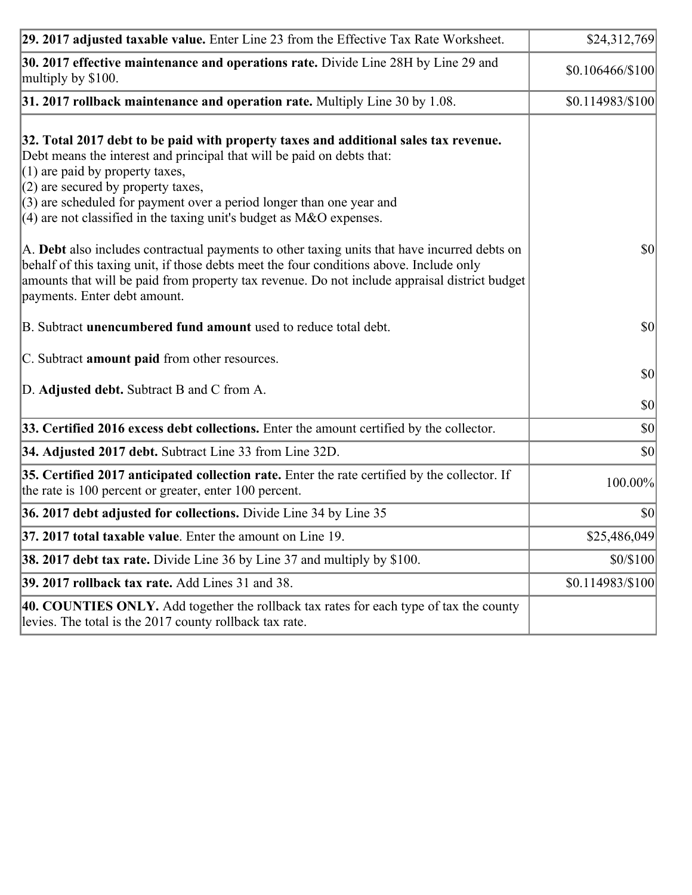| 29. 2017 adjusted taxable value. Enter Line 23 from the Effective Tax Rate Worksheet.                                                                                                                                                                                                                                                                                                          | \$24,312,769                 |
|------------------------------------------------------------------------------------------------------------------------------------------------------------------------------------------------------------------------------------------------------------------------------------------------------------------------------------------------------------------------------------------------|------------------------------|
| 30. 2017 effective maintenance and operations rate. Divide Line 28H by Line 29 and<br>multiply by \$100.                                                                                                                                                                                                                                                                                       | \$0.106466/\$100             |
| $31.2017$ rollback maintenance and operation rate. Multiply Line 30 by 1.08.                                                                                                                                                                                                                                                                                                                   | \$0.114983/\$100             |
| 32. Total 2017 debt to be paid with property taxes and additional sales tax revenue.<br>Debt means the interest and principal that will be paid on debts that:<br>$(1)$ are paid by property taxes,<br>$(2)$ are secured by property taxes,<br>$(3)$ are scheduled for payment over a period longer than one year and<br>$(4)$ are not classified in the taxing unit's budget as M&O expenses. |                              |
| A. Debt also includes contractual payments to other taxing units that have incurred debts on<br>behalf of this taxing unit, if those debts meet the four conditions above. Include only<br>amounts that will be paid from property tax revenue. Do not include appraisal district budget<br>payments. Enter debt amount.                                                                       | $ 10\rangle$                 |
| B. Subtract unencumbered fund amount used to reduce total debt.                                                                                                                                                                                                                                                                                                                                | \$0                          |
| C. Subtract amount paid from other resources.<br>D. Adjusted debt. Subtract B and C from A.                                                                                                                                                                                                                                                                                                    | $ 10\rangle$                 |
| 33. Certified 2016 excess debt collections. Enter the amount certified by the collector.                                                                                                                                                                                                                                                                                                       | $ 10\rangle$<br>$ 10\rangle$ |
| 34. Adjusted 2017 debt. Subtract Line 33 from Line 32D.                                                                                                                                                                                                                                                                                                                                        | \$0                          |
| 35. Certified 2017 anticipated collection rate. Enter the rate certified by the collector. If<br>the rate is 100 percent or greater, enter 100 percent.                                                                                                                                                                                                                                        | 100.00%                      |
| 36. 2017 debt adjusted for collections. Divide Line 34 by Line 35                                                                                                                                                                                                                                                                                                                              | $ 10\rangle$                 |
| 37. 2017 total taxable value. Enter the amount on Line 19.                                                                                                                                                                                                                                                                                                                                     | \$25,486,049                 |
| <b>38. 2017 debt tax rate.</b> Divide Line 36 by Line 37 and multiply by \$100.                                                                                                                                                                                                                                                                                                                | \$0/\$100                    |
| <b>39. 2017 rollback tax rate.</b> Add Lines 31 and 38.                                                                                                                                                                                                                                                                                                                                        | \$0.114983/\$100             |
| 40. COUNTIES ONLY. Add together the rollback tax rates for each type of tax the county<br>levies. The total is the 2017 county rollback tax rate.                                                                                                                                                                                                                                              |                              |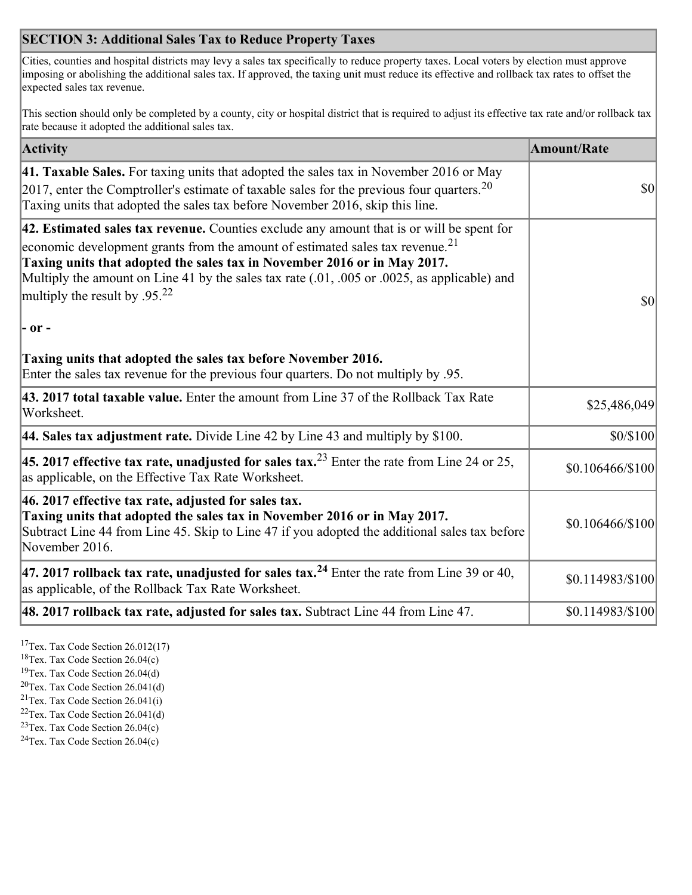## **SECTION 3: Additional Sales Tax to Reduce Property Taxes**

Cities, counties and hospital districts may levy a sales tax specifically to reduce property taxes. Local voters by election must approve imposing or abolishing the additional sales tax. If approved, the taxing unit must reduce its effective and rollback tax rates to offset the expected sales tax revenue.

This section should only be completed by a county, city or hospital district that is required to adjust its effective tax rate and/or rollback tax rate because it adopted the additional sales tax.

| <b>Activity</b>                                                                                                                                                                                                                                                                                                                                                                                                 | <b>Amount/Rate</b> |
|-----------------------------------------------------------------------------------------------------------------------------------------------------------------------------------------------------------------------------------------------------------------------------------------------------------------------------------------------------------------------------------------------------------------|--------------------|
| 41. Taxable Sales. For taxing units that adopted the sales tax in November 2016 or May<br>$[2017]$ , enter the Comptroller's estimate of taxable sales for the previous four quarters. <sup>20</sup><br>Taxing units that adopted the sales tax before November 2016, skip this line.                                                                                                                           | $\vert$ so $\vert$ |
| 42. Estimated sales tax revenue. Counties exclude any amount that is or will be spent for<br>economic development grants from the amount of estimated sales tax revenue. <sup>21</sup><br>Taxing units that adopted the sales tax in November 2016 or in May 2017.<br>Multiply the amount on Line 41 by the sales tax rate (.01, .005 or .0025, as applicable) and<br>multiply the result by .95. <sup>22</sup> | \$0                |
| - or -                                                                                                                                                                                                                                                                                                                                                                                                          |                    |
| Taxing units that adopted the sales tax before November 2016.<br>Enter the sales tax revenue for the previous four quarters. Do not multiply by .95.                                                                                                                                                                                                                                                            |                    |
| 43. 2017 total taxable value. Enter the amount from Line 37 of the Rollback Tax Rate<br>Worksheet.                                                                                                                                                                                                                                                                                                              | \$25,486,049       |
| 44. Sales tax adjustment rate. Divide Line 42 by Line 43 and multiply by $$100$ .                                                                                                                                                                                                                                                                                                                               | \$0/\$100          |
| 45. 2017 effective tax rate, unadjusted for sales tax. <sup>23</sup> Enter the rate from Line 24 or 25,<br>as applicable, on the Effective Tax Rate Worksheet.                                                                                                                                                                                                                                                  | \$0.106466/\$100   |
| 46. 2017 effective tax rate, adjusted for sales tax.<br>Taxing units that adopted the sales tax in November 2016 or in May 2017.<br>Subtract Line 44 from Line 45. Skip to Line 47 if you adopted the additional sales tax before<br>November 2016.                                                                                                                                                             | \$0.106466/\$100   |
| 47. 2017 rollback tax rate, unadjusted for sales tax. <sup>24</sup> Enter the rate from Line 39 or 40,<br>as applicable, of the Rollback Tax Rate Worksheet.                                                                                                                                                                                                                                                    | \$0.114983/\$100   |
| $ 48.2017$ rollback tax rate, adjusted for sales tax. Subtract Line 44 from Line 47.                                                                                                                                                                                                                                                                                                                            | \$0.114983/\$100   |

<sup>17</sup>Tex. Tax Code Section 26.012(17)

<sup>18</sup>Tex. Tax Code Section 26.04(c)

<sup>19</sup>Tex. Tax Code Section 26.04(d)

<sup>20</sup>Tex. Tax Code Section 26.041(d)

- $21$ Tex. Tax Code Section 26.041(i)
- <sup>22</sup>Tex. Tax Code Section 26.041(d)
- <sup>23</sup>Tex. Tax Code Section  $26.04(c)$

<sup>24</sup>Tex. Tax Code Section  $26.04(c)$